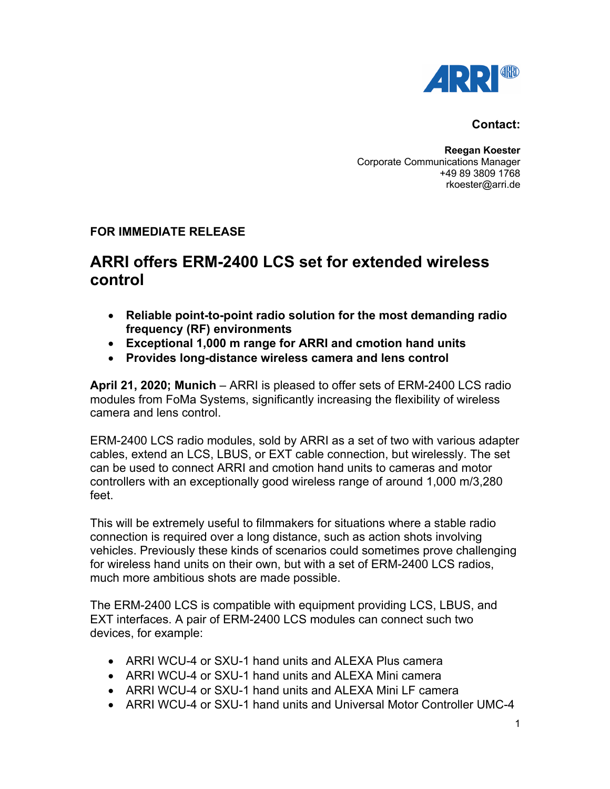

## **Contact:**

**Reegan Koester** Corporate Communications Manager +49 89 3809 1768 rkoester@arri.de

## **FOR IMMEDIATE RELEASE**

## **ARRI offers ERM-2400 LCS set for extended wireless control**

- **Reliable point-to-point radio solution for the most demanding radio frequency (RF) environments**
- **Exceptional 1,000 m range for ARRI and cmotion hand units**
- **Provides long-distance wireless camera and lens control**

**April 21, 2020; Munich** – ARRI is pleased to offer sets of ERM-2400 LCS radio modules from FoMa Systems, significantly increasing the flexibility of wireless camera and lens control.

ERM-2400 LCS radio modules, sold by ARRI as a set of two with various adapter cables, extend an LCS, LBUS, or EXT cable connection, but wirelessly. The set can be used to connect ARRI and cmotion hand units to cameras and motor controllers with an exceptionally good wireless range of around 1,000 m/3,280 feet.

This will be extremely useful to filmmakers for situations where a stable radio connection is required over a long distance, such as action shots involving vehicles. Previously these kinds of scenarios could sometimes prove challenging for wireless hand units on their own, but with a set of ERM-2400 LCS radios, much more ambitious shots are made possible.

The ERM-2400 LCS is compatible with equipment providing LCS, LBUS, and EXT interfaces. A pair of ERM-2400 LCS modules can connect such two devices, for example:

- ARRI WCU-4 or SXU-1 hand units and ALEXA Plus camera
- ARRI WCU-4 or SXU-1 hand units and ALEXA Mini camera
- ARRI WCU-4 or SXU-1 hand units and ALEXA Mini LF camera
- ARRI WCU-4 or SXU-1 hand units and Universal Motor Controller UMC-4